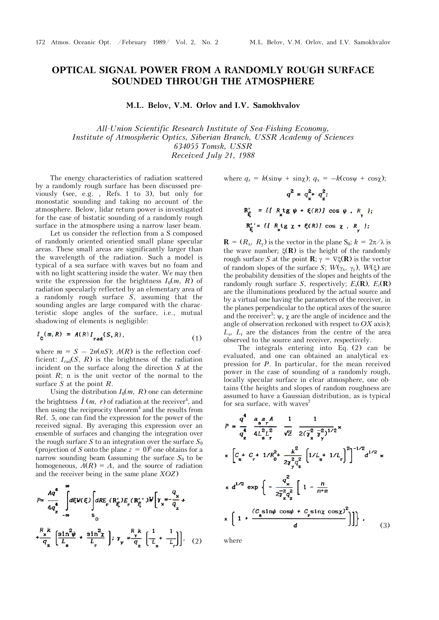## **OPTICAL SIGNAL POWER FROM A RANDOMLY ROUGH SURFACE SOUNDED THROUGH THE ATMOSPHERE**

**M.L. Belov, V.M. Orlov and I.V. Samokhvalov** 

*All-Union Scientific Research Institute of Sea-Fishing Economy, Institute of Atmospheric Optics, Siberian Branch, USSR Academy of Sciences 634055 Tomsk, USSR Received July 21, 1988*

The energy characteristics of radiation scattered by a randomly rough surface has been discussed previously (see, e.g. , Refs. 1 to 3), but only for monostatic sounding and taking no account of the atmosphere. Below, lidar return power is investigated for the case of bistatic sounding of a randomly rough surface in the atmosphere using a narrow laser beam.

Let us consider the reflection from a S composed of randomly oriented orientied small plane specular areas. These small areas are significantly larger than the wavelength of the radiation. Such a model is typical of a sea surface with waves but no foam and with no light scattering inside the water. We may then write the expression for the brightness  $I_0(m, R)$  of radiation specularly reflected by an elementary area of a randomly rough surface *S*, assuming that the sounding angles are large compared with the characteristic slope angles of the surface, i.e., mutual shadowing of elements is negligible:

$$
I_0(m, R) = A(R)I_{rad}(S, R), \qquad (1)
$$

where  $m = S - 2n(nS)$ ;  $A(R)$  is the reflection coefficient:  $I_{rad}(S, R)$  is the brightness of the radiation incident on the surface along the direction *S* at the point  $R$ ; n is the unit vector of the normal to the surface *S* at the point *R*.

Using the distribution  $I_0(m, R)$  one can determine the brightness  $\tilde{I}(m, r)$  of radiation at the receiver<sup>4</sup>, and then using the reciprocity theorem<sup>4</sup> and the results from Ref. 5, one can find the expression for the power of the received signal. By averaging this expression over an ensemble of surfaces and changing the integration over the rough surface *S* to an integration over the surface  $S_0$ (projection of *S* onto the plane  $z = 0$ <sup>6</sup> one obtains for a narrow sounding beam (assuming the surface  $S_0$  to be homogeneous,  $\overline{A}(R) = A$ , and the source of radiation and the receiver being in the same plane *XOZ*)

$$
P \approx \frac{Aq^4}{4q_z^4} \int_{-\infty}^{\infty} d\xi W(\xi) \int dR E_r(\mathbf{R}_{\xi}^{\prime}) E_r(\mathbf{R}_{\xi}^{\prime\prime}) W \left[ \gamma_x = -\frac{q_x}{q_z} + \frac{R_r k}{q_z} \left[ \frac{\sin^2 \psi}{L_s} + \frac{\sin^2 \chi}{L_r} \right] ; \gamma_y = \frac{R_r k}{q_z} \left[ \frac{1}{L_s} + \frac{1}{L_r} \right] \right], \quad (2)
$$

where  $q_z = k(\sin\psi + \sin\chi);$   $q_x = -k(\cos\psi + \cos\chi);$ 

$$
q^* = q_x^* + q_z^*
$$
  
\n
$$
R'_\xi = \{ \left[ R_x \text{tg } \psi + \xi(R) \right] \cos \psi, R_y \};
$$
  
\n
$$
R'_\xi' = \{ \left[ R_x \text{tg } \chi + \xi(R) \right] \cos \chi, R_y \};
$$

 $\mathbf{R} = (R_{\rm x}, R_{\rm y})$  is the vector in the plane S<sub>0</sub>;  $k = 2\pi/\lambda$  is the wave number;  $\xi(\mathbf{R})$  is the height of the randomly rough surface *S* at the point **R**;  $\gamma = \nabla \xi(\mathbf{R})$  is the vector of random slopes of the surface *S*;  $W(\gamma_x, \gamma_y)$ ,  $W(\xi)$  are the probability densities of the slopes and heights of the randomly rough surface *S*, respectively;  $E_s(\mathbf{R})$ ,  $E_r(\mathbf{R})$ are the illuminations produced by the actual source and by a virtual one having the parameters of the receiver, in the planes perpendicular to the optical axes of the source and the receiver<sup>5</sup>;  $\psi$ ,  $\chi$  are the angle of incidence and the angle of observation reckoned with respect to *OX* axis); *L*s, *L*r are the distances from the centre of the area observed to the source and receiver, respectively.

The integrals entering into Eq. (2) can be evaluated, and one can obtained an analytical expression for *P*. In particular, for the mean received power in the case of sounding of a randomly rough, locally specular surface in clear atmosphere, one obtains (the heights and slopes of random roughness are assumed to have a Gaussian distribution, as is typical for sea surface, with waves<sup>7</sup>

$$
P \approx \frac{q^4}{q_z^4} = \frac{a_s a_r A}{4L_s^2 L_s^2} \frac{1}{\sqrt{2}} \frac{1}{2(\overline{\gamma}_x^2 \overline{\gamma}_y^2)^{1/2}} \times
$$
  
\n
$$
\times \left[ C_s + C_r + 1/R_0^2 + \frac{k^2}{2\overline{\gamma}_y^2 \overline{\gamma}_z^2} \left[ 1/L_s + 1/L_r \right]^2 \right]^{-1/2} d^{1/2} \times
$$
  
\n
$$
\times d^{1/2} \exp \left\{ -\frac{q_x^2}{2\overline{\gamma}_x^2 \overline{\gamma}_z^2} \left[ 1 - \frac{n}{n+m} \right]
$$
  
\n
$$
\times \left[ 1 + \frac{(C_s \sin\psi \cos\psi + C_s \sin\chi \cos\chi)^2}{d} \right] \right\}, \qquad (3)
$$

where